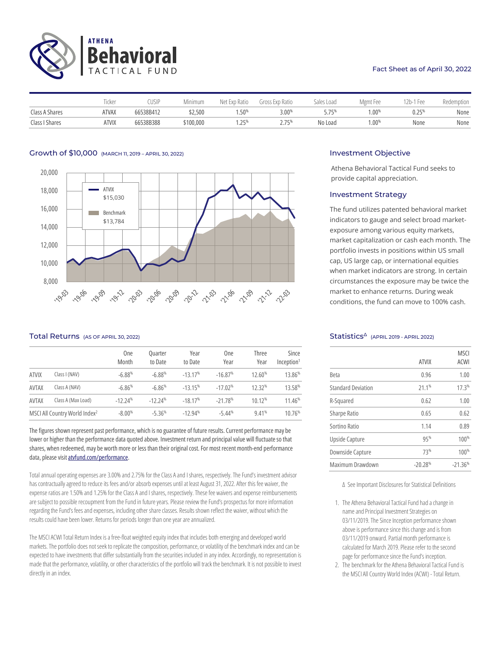

### Fact Sheet as of April 30, 2022

|                | ricker       | `USIP∶    | Minimum   | Net Exp Ratio | Gross Exp Ratio   | Sales Load | Mgmt Fee | 12b-1 Fee | Redemption |
|----------------|--------------|-----------|-----------|---------------|-------------------|------------|----------|-----------|------------|
| Class A Shares | <b>ATVAX</b> | 66538B412 | \$2,500   | $.50\%$       | $3.00\%$          | $-75%$     | $.00\%$  | 0.25%     | None       |
| Class I Shares | <b>ATVIX</b> | 66538B388 | \$100,000 | つにり<br>.      | ) 75%<br><u>.</u> | No Load    | $1.00\%$ | None      | None       |

# Growth of \$10,000 (MARCH 11, 2019 – APRIL 30, 2022) **Investment Objective** Investment Objective



# Total Returns (AS OF APRIL 30, 2022) Statistics<sup>∆</sup> (APRIL 2019 - APRIL 2022)

|              |                                           | <b>One</b><br>Month | <b>Ouarter</b><br>to Date | Year<br>to Date | One<br>Year | <b>Three</b><br>Year | Since<br>Inception <sup>1</sup> |
|--------------|-------------------------------------------|---------------------|---------------------------|-----------------|-------------|----------------------|---------------------------------|
| <b>ATVIX</b> | Class I (NAV)                             | $-6.88%$            | $-6.88%$                  | $-13.17%$       | $-16.87%$   | 12.60%               | 13.86%                          |
| <b>AVTAX</b> | Class A (NAV)                             | $-6.86%$            | $-6.86%$                  | $-13.15%$       | $-17.02%$   | 12.32%               | 13.58%                          |
| <b>AVTAX</b> | Class A (Max Load)                        | $-12.24%$           | $-12.24%$                 | $-18.17%$       | $-21.78%$   | 10.12%               | 11.46%                          |
|              | MSCI All Country World Index <sup>2</sup> | $-8.00%$            | $-5.36%$                  | $-12.94%$       | $-5.44%$    | 9.41%                | 10.76%                          |

The figures shown represent past performance, which is no guarantee of future results. Current performance may be lower or higher than the performance data quoted above. Investment return and principal value will fluctuate so that shares, when redeemed, may be worth more or less than their original cost. For most recent month-end performance data, please visi[t atvfund.com/performance.](https://www.atvfund.com/#sec-performance) 

Total annual operating expenses are 3.00% and 2.75% for the Class A and I shares, respectively. The Fund's investment advisor has contractually agreed to reduce its fees and/or absorb expenses until at least August 31, 2022. After this fee waiver, the expense ratios are 1.50% and 1.25% for the Class A and I shares, respectively. These fee waivers and expense reimbursements are subject to possible recoupment from the Fund in future years. Please review the Fund's prospectus for more information regarding the Fund's fees and expenses, including other share classes. Results shown reflect the waiver, without which the results could have been lower. Returns for periods longer than one year are annualized.

The MSCI ACWI Total Return Index is a free-float weighted equity index that includes both emerging and developed world markets.The portfolio does not seek to replicate the composition, performance, or volatility of the benchmark indexand can be expected to have investments that differ substantially from the securities included in any index. Accordingly, no representation is made that the performance, volatility, or other characteristics of the portfolio will track the benchmark. It is not possible to invest directly in an index.

Athena Behavioral Tactical Fund seeks to provide capital appreciation.

# Investment Strategy

The fund utilizes patented behavioral market indicators to gauge and select broad marketexposure among various equity markets, market capitalization or cash each month. The portfolio invests in positions within US small cap, US large cap, or international equities when market indicators are strong. In certain circumstances the exposure may be twice the market to enhance returns. During weak conditions, the fund can move to 100% cash.

|                           | <b>ATVIX</b> | <b>MSCI</b><br><b>ACWI</b> |
|---------------------------|--------------|----------------------------|
| <b>Beta</b>               | 0.96         | 1.00                       |
| <b>Standard Deviation</b> | 21.1%        | 17.3%                      |
| R-Squared                 | 0.62         | 1.00                       |
| Sharpe Ratio              | 0.65         | 0.62                       |
| Sortino Ratio             | 1.14         | 0.89                       |
| Upside Capture            | 95%          | 100%                       |
| Downside Capture          | 73%          | 100%                       |
| Maximum Drawdown          | $-20.28%$    | $-21.36%$                  |

∆ See Important Disclosures for Statistical Definitions

- 1. The Athena Behavioral Tactical Fund had a change in name and Principal Investment Strategies on 03/11/2019. The Since Inception performance shown above is performance since this change and is from 03/11/2019 onward. Partial month performance is calculated for March 2019. Please refer to the second page for performance since the Fund's inception.
- 2. The benchmark for the Athena Behavioral Tactical Fund is the MSCI All Country World Index (ACWI) - Total Return.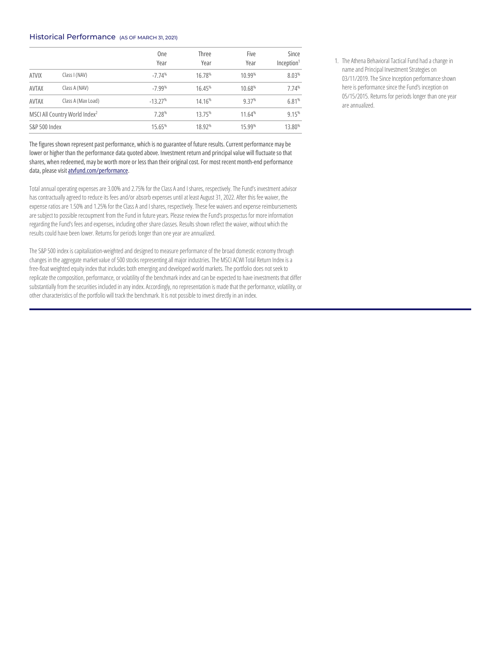# Historical Performance (AS OF MARCH 31, 2021)

|                                           |                    | <b>One</b><br>Year | <b>Three</b><br>Year | Five<br>Year | Since<br>Inception <sup>1</sup> |
|-------------------------------------------|--------------------|--------------------|----------------------|--------------|---------------------------------|
| <b>ATVIX</b>                              | Class I (NAV)      | $-7.74%$           | 16.78%               | 10.99%       | 8.03%                           |
| AVTAX                                     | Class A (NAV)      | $-7.99%$           | 16.45%               | 10.68%       | 7.74%                           |
| <b>AVTAX</b>                              | Class A (Max Load) | $-13.27%$          | 14.16%               | 9.37%        | 6.81%                           |
| MSCI All Country World Index <sup>2</sup> |                    | 7.28%              | 13.75%               | 11.64%       | 9.15%                           |
| S&P 500 Index                             |                    | 15.65%             | 18.92%               | 15.99%       | 13.80%                          |

The figures shown represent past performance, which is no guarantee of future results. Current performance may be lower or higher than the performance data quoted above. Investment return and principal value will fluctuate so that shares, when redeemed, may be worth more or less than their original cost. For most recent month-end performance data, please visit atvfund.com/performance.

Total annual operating expenses are 3.00% and 2.75% for the Class A and I shares, respectively. The Fund's investment advisor has contractually agreed to reduce its fees and/or absorb expenses until at least August 31, 2022. After this fee waiver, the expense ratios are 1.50% and 1.25% for the Class A and I shares, respectively. These fee waivers and expense reimbursements are subject to possible recoupment from the Fund in future years. Please review the Fund's prospectus for more information regarding the Fund's fees and expenses, including other share classes. Results shown reflect the waiver, without which the results could have been lower. Returns for periods longer than one year are annualized.

The S&P 500 index is capitalization-weighted and designed to measure performance of the broad domestic economy through changes in the aggregate market value of 500 stocks representing all major industries. The MSCI ACWI Total Return Index is a free-float weighted equity index that includes both emerging and developed world markets.The portfolio does not seek to replicate the composition, performance, or volatility of the benchmark indexand can be expected to have investments that differ substantially from the securities included in any index. Accordingly, no representation is made that the performance, volatility, or other characteristics of the portfolio will track the benchmark. It is not possible to invest directly in an index.

1. The Athena Behavioral Tactical Fund had a change in name and Principal Investment Strategies on 03/11/2019. The Since Inception performance shown here is performance since the Fund's inception on 05/15/2015. Returns for periods longer than one year are annualized.